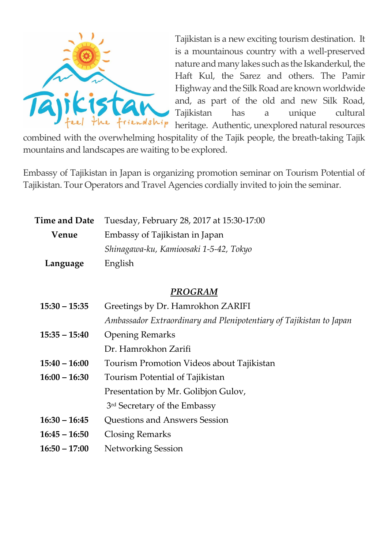

Tajikistan is a new exciting tourism destination. It is a mountainous country with a well-preserved nature and many lakes such as the Iskanderkul, the Haft Kul, the Sarez and others. The Pamir Highway and the Silk Road are known worldwide and, as part of the old and new Silk Road, Tajikistan has a unique cultural heritage. Authentic, unexplored natural resources

combined with the overwhelming hospitality of the Tajik people, the breath-taking Tajik mountains and landscapes are waiting to be explored.

Embassy of Tajikistan in Japan is organizing promotion seminar on Tourism Potential of Tajikistan. Tour Operators and Travel Agencies cordially invited to join the seminar.

| <b>Time and Date</b> | Tuesday, February 28, 2017 at 15:30-17:00 |  |  |
|----------------------|-------------------------------------------|--|--|
| Venue                | Embassy of Tajikistan in Japan            |  |  |
|                      | Shinagawa-ku, Kamioosaki 1-5-42, Tokyo    |  |  |
| Language             | English                                   |  |  |

## *PROGRAM*

| $15:30 - 15:35$ | Greetings by Dr. Hamrokhon ZARIFI                                   |  |
|-----------------|---------------------------------------------------------------------|--|
|                 | Ambassador Extraordinary and Plenipotentiary of Tajikistan to Japan |  |
| $15:35 - 15:40$ | <b>Opening Remarks</b>                                              |  |
|                 | Dr. Hamrokhon Zarifi                                                |  |
| $15:40 - 16:00$ | Tourism Promotion Videos about Tajikistan                           |  |
| $16:00 - 16:30$ | Tourism Potential of Tajikistan                                     |  |
|                 | Presentation by Mr. Golibjon Gulov,                                 |  |
|                 | 3rd Secretary of the Embassy                                        |  |
| $16:30 - 16:45$ | <b>Ouestions and Answers Session</b>                                |  |
| $16:45 - 16:50$ | <b>Closing Remarks</b>                                              |  |
| $16:50 - 17:00$ | <b>Networking Session</b>                                           |  |